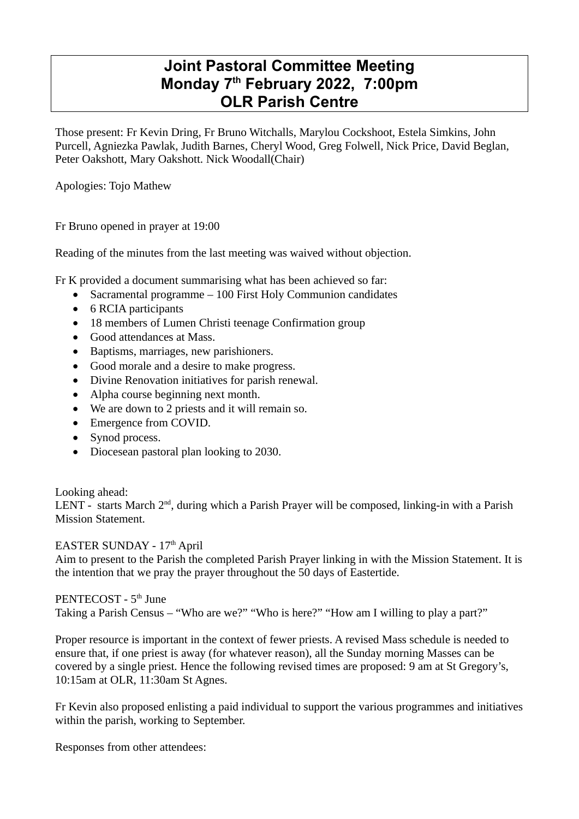## **Joint Pastoral Committee Meeting Monday 7th February 2022, 7:00pm OLR Parish Centre**

Those present: Fr Kevin Dring, Fr Bruno Witchalls, Marylou Cockshoot, Estela Simkins, John Purcell, Agniezka Pawlak, Judith Barnes, Cheryl Wood, Greg Folwell, Nick Price, David Beglan, Peter Oakshott, Mary Oakshott. Nick Woodall(Chair)

Apologies: Tojo Mathew

Fr Bruno opened in prayer at 19:00

Reading of the minutes from the last meeting was waived without objection.

Fr K provided a document summarising what has been achieved so far:

- Sacramental programme 100 First Holy Communion candidates
- 6 RCIA participants
- 18 members of Lumen Christi teenage Confirmation group
- Good attendances at Mass.
- Baptisms, marriages, new parishioners.
- Good morale and a desire to make progress.
- Divine Renovation initiatives for parish renewal.
- Alpha course beginning next month.
- We are down to 2 priests and it will remain so.
- Emergence from COVID.
- Synod process.
- Diocesean pastoral plan looking to 2030.

## Looking ahead:

LENT - starts March  $2<sup>nd</sup>$ , during which a Parish Prayer will be composed, linking-in with a Parish Mission Statement.

## EASTER SUNDAY - 17th April

Aim to present to the Parish the completed Parish Prayer linking in with the Mission Statement. It is the intention that we pray the prayer throughout the 50 days of Eastertide.

## PENTECOST - 5<sup>th</sup> June

Taking a Parish Census – "Who are we?" "Who is here?" "How am I willing to play a part?"

Proper resource is important in the context of fewer priests. A revised Mass schedule is needed to ensure that, if one priest is away (for whatever reason), all the Sunday morning Masses can be covered by a single priest. Hence the following revised times are proposed: 9 am at St Gregory's, 10:15am at OLR, 11:30am St Agnes.

Fr Kevin also proposed enlisting a paid individual to support the various programmes and initiatives within the parish, working to September.

Responses from other attendees: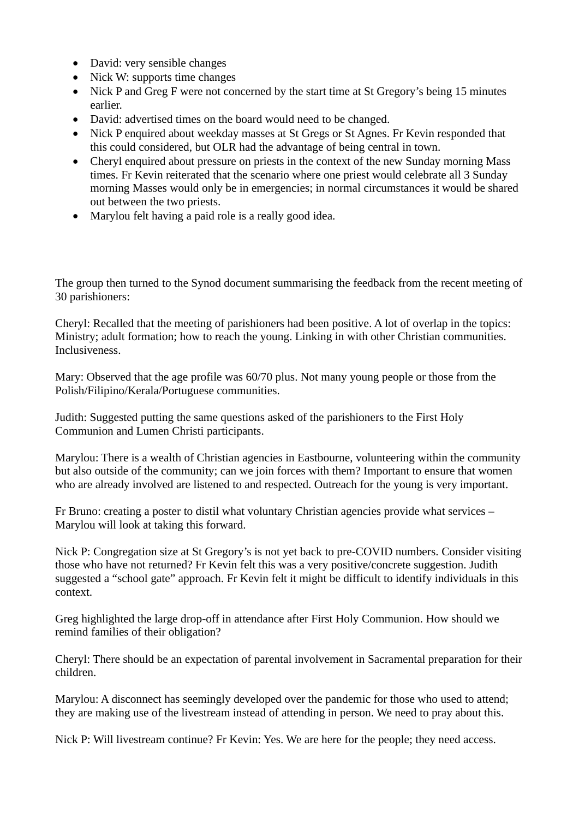- David: very sensible changes
- Nick W: supports time changes
- Nick P and Greg F were not concerned by the start time at St Gregory's being 15 minutes earlier.
- David: advertised times on the board would need to be changed.
- Nick P enquired about weekday masses at St Gregs or St Agnes. Fr Kevin responded that this could considered, but OLR had the advantage of being central in town.
- Cheryl enquired about pressure on priests in the context of the new Sunday morning Mass times. Fr Kevin reiterated that the scenario where one priest would celebrate all 3 Sunday morning Masses would only be in emergencies; in normal circumstances it would be shared out between the two priests.
- Marylou felt having a paid role is a really good idea.

The group then turned to the Synod document summarising the feedback from the recent meeting of 30 parishioners:

Cheryl: Recalled that the meeting of parishioners had been positive. A lot of overlap in the topics: Ministry; adult formation; how to reach the young. Linking in with other Christian communities. Inclusiveness.

Mary: Observed that the age profile was 60/70 plus. Not many young people or those from the Polish/Filipino/Kerala/Portuguese communities.

Judith: Suggested putting the same questions asked of the parishioners to the First Holy Communion and Lumen Christi participants.

Marylou: There is a wealth of Christian agencies in Eastbourne, volunteering within the community but also outside of the community; can we join forces with them? Important to ensure that women who are already involved are listened to and respected. Outreach for the young is very important.

Fr Bruno: creating a poster to distil what voluntary Christian agencies provide what services – Marylou will look at taking this forward.

Nick P: Congregation size at St Gregory's is not yet back to pre-COVID numbers. Consider visiting those who have not returned? Fr Kevin felt this was a very positive/concrete suggestion. Judith suggested a "school gate" approach. Fr Kevin felt it might be difficult to identify individuals in this context.

Greg highlighted the large drop-off in attendance after First Holy Communion. How should we remind families of their obligation?

Cheryl: There should be an expectation of parental involvement in Sacramental preparation for their children.

Marylou: A disconnect has seemingly developed over the pandemic for those who used to attend; they are making use of the livestream instead of attending in person. We need to pray about this.

Nick P: Will livestream continue? Fr Kevin: Yes. We are here for the people; they need access.